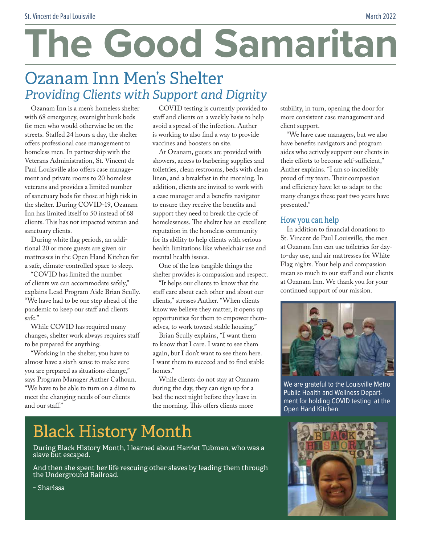# The Good Samaritan

## Ozanam Inn Men's Shelter *Providing Clients with Support and Dignity*

Ozanam Inn is a men's homeless shelter with 68 emergency, overnight bunk beds for men who would otherwise be on the streets. Staffed 24 hours a day, the shelter offers professional case management to homeless men. In partnership with the Veterans Administration, St. Vincent de Paul Louisville also offers case management and private rooms to 20 homeless veterans and provides a limited number of sanctuary beds for those at high risk in the shelter. During COVID-19, Ozanam Inn has limited itself to 50 instead of 68 clients. This has not impacted veteran and sanctuary clients.

During white flag periods, an additional 20 or more guests are given air mattresses in the Open Hand Kitchen for a safe, climate-controlled space to sleep.

"COVID has limited the number of clients we can accommodate safely," explains Lead Program Aide Brian Scully. "We have had to be one step ahead of the pandemic to keep our staff and clients safe."

While COVID has required many changes, shelter work always requires staff to be prepared for anything.

"Working in the shelter, you have to almost have a sixth sense to make sure you are prepared as situations change," says Program Manager Auther Calhoun. "We have to be able to turn on a dime to meet the changing needs of our clients and our staff."

COVID testing is currently provided to staff and clients on a weekly basis to help avoid a spread of the infection. Auther is working to also find a way to provide vaccines and boosters on site.

At Ozanam, guests are provided with showers, access to barbering supplies and toiletries, clean restrooms, beds with clean linen, and a breakfast in the morning. In addition, clients are invited to work with a case manager and a benefits navigator to ensure they receive the benefits and support they need to break the cycle of homelessness. The shelter has an excellent reputation in the homeless community for its ability to help clients with serious health limitations like wheelchair use and mental health issues.

One of the less tangible things the shelter provides is compassion and respect.

"It helps our clients to know that the staff care about each other and about our clients," stresses Auther. "When clients know we believe they matter, it opens up opportunities for them to empower themselves, to work toward stable housing."

Brian Scully explains, "I want them to know that I care. I want to see them again, but I don't want to see them here. I want them to succeed and to find stable homes."

While clients do not stay at Ozanam during the day, they can sign up for a bed the next night before they leave in the morning. This offers clients more

## Black History Month

During Black History Month, I learned about Harriet Tubman, who was a slave but escaped.

And then she spent her life rescuing other slaves by leading them through the Underground Railroad.

stability, in turn, opening the door for more consistent case management and client support.

"We have case managers, but we also have benefits navigators and program aides who actively support our clients in their efforts to become self-sufficient," Auther explains. "I am so incredibly proud of my team. Their compassion and efficiency have let us adapt to the many changes these past two years have presented."

#### How you can help

In addition to financial donations to St. Vincent de Paul Louisville, the men at Ozanam Inn can use toiletries for dayto-day use, and air mattresses for White Flag nights. Your help and compassion mean so much to our staff and our clients at Ozanam Inn. We thank you for your continued support of our mission.



We are grateful to the Louisville Metro Public Health and Wellness Department for holding COVID testing at the Open Hand Kitchen.



~ Sharissa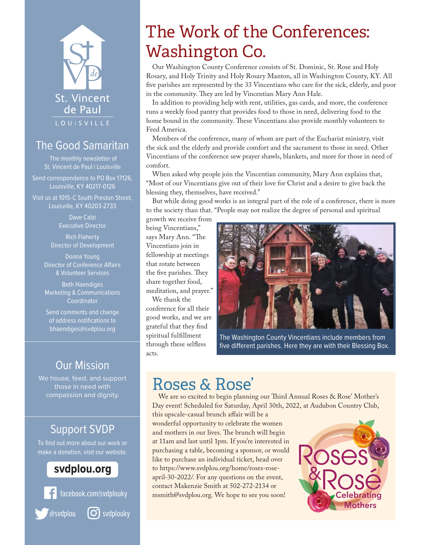

#### The Good Samaritan

The monthly newsletter of St. Vincent de Paul | Louisville

Send correspondence to PO Box 17126, Louisville, KY 40217-0126

Visit us at 1015-C South Preston Street, Louisville, KY 40203-2733

> Dave Calzi Executive Director

Rich Flaherty Director of Development

Donna Young Director of Conference Affairs & Volunteer Services

Beth Haendiges Marketing & Communications Coordinator

Send comments and change of address notifications to bhaendiges@svdplou.org

#### Our Mission

We house, feed, and support those in need with compassion and dignity.

#### Support SVDP

To find out more about our work or make a donation, visit our website.

#### svdplou.org



## The Work of the Conferences: Washington Co.

Our Washington County Conference consists of St. Dominic, St. Rose and Holy Rosary, and Holy Trinity and Holy Rosary Manton, all in Washington County, KY. All five parishes are represented by the 33 Vincentians who care for the sick, elderly, and poor in the community. They are led by Vincentian Mary Ann Hale.

In addition to providing help with rent, utilities, gas cards, and more, the conference runs a weekly food pantry that provides food to those in need, delivering food to the home bound in the community. These Vincentians also provide monthly volunteers to Feed America.

Members of the conference, many of whom are part of the Eucharist ministry, visit the sick and the elderly and provide comfort and the sacrament to those in need. Other Vincentians of the conference sew prayer shawls, blankets, and more for those in need of comfort.

When asked why people join the Vincentian community, Mary Ann explains that, "Most of our Vincentians give out of their love for Christ and a desire to give back the blessing they, themselves, have received."

But while doing good works is an integral part of the role of a conference, there is more to the society than that. "People may not realize the degree of personal and spiritual

growth we receive from being Vincentians," says Mary Ann. "The Vincentians join in fellowship at meetings that rotate between the five parishes. They share together food, meditation, and prayer."

We thank the conference for all their good works, and we are grateful that they find spiritual fulfillment through these selfless acts.



The Washington County Vincentians include members from five different parishes. Here they are with their Blessing Box.

## Roses & Rose'

We are so excited to begin planning our Third Annual Roses & Rose' Mother's Day event! Scheduled for Saturday, April 30th, 2022, at Audubon Country Club,

this upscale-casual brunch affair will be a wonderful opportunity to celebrate the women and mothers in our lives. The brunch will begin at 11am and last until 1pm. If you're interested in purchasing a table, becoming a sponsor, or would like to purchase an individual ticket, head over to https://www.svdplou.org/home/roses-roseapril-30-2022/. For any questions on the event, contact Makenzie Smith at 502-272-2134 or msmith@svdplou.org. We hope to see you soon!

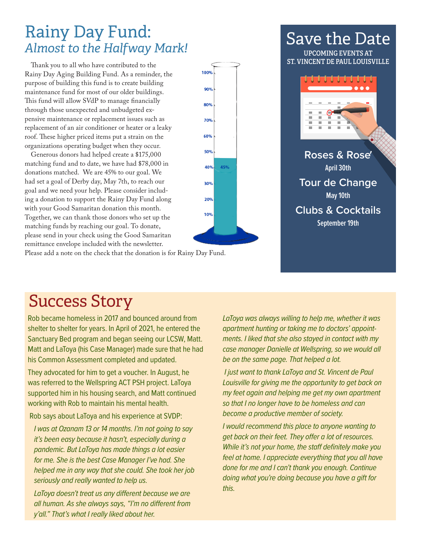### Rainy Day Fund: *Almost to the Halfway Mark!*

Thank you to all who have contributed to the Rainy Day Aging Building Fund. As a reminder, the purpose of building this fund is to create building maintenance fund for most of our older buildings. This fund will allow SVdP to manage financially through those unexpected and unbudgeted expensive maintenance or replacement issues such as replacement of an air conditioner or heater or a leaky roof. These higher priced items put a strain on the organizations operating budget when they occur.

Generous donors had helped create a \$175,000 matching fund and to date, we have had \$78,000 in donations matched. We are 45% to our goal. We had set a goal of Derby day, May 7th, to reach our goal and we need your help. Please consider including a donation to support the Rainy Day Fund along with your Good Samaritan donation this month. Together, we can thank those donors who set up the matching funds by reaching our goal. To donate, please send in your check using the Good Samaritan remittance envelope included with the newsletter.

Please add a note on the check that the donation is for Rainy Day Fund.

## Success Story

Rob became homeless in 2017 and bounced around from shelter to shelter for years. In April of 2021, he entered the Sanctuary Bed program and began seeing our LCSW, Matt. Matt and LaToya (his Case Manager) made sure that he had his Common Assessment completed and updated.

They advocated for him to get a voucher. In August, he was referred to the Wellspring ACT PSH project. LaToya supported him in his housing search, and Matt continued working with Rob to maintain his mental health.

Rob says about LaToya and his experience at SVDP:

*I was at Ozanam 13 or 14 months. I'm not going to say it's been easy because it hasn't, especially during a pandemic. But LaToya has made things a lot easier for me. She is the best Case Manager I've had. She helped me in any way that she could. She took her job seriously and really wanted to help us.* 

*LaToya doesn't treat us any different because we are all human. As she always says, "I'm no different from y'all." That's what I really liked about her.* 

*LaToya was always willing to help me, whether it was apartment hunting or taking me to doctors' appointments. I liked that she also stayed in contact with my case manager Danielle at Wellspring, so we would all be on the same page. That helped a lot.*

 *I just want to thank LaToya and St. Vincent de Paul Louisville for giving me the opportunity to get back on my feet again and helping me get my own apartment so that I no longer have to be homeless and can become a productive member of society.* 

*I would recommend this place to anyone wanting to get back on their feet. They offer a lot of resources. While it's not your home, the staff definitely make you feel at home. I appreciate everything that you all have done for me and I can't thank you enough. Continue doing what you're doing because you have a gift for this.*





Save the Date

**UPCOMING EVENTS AT**

**Tour de Change May 10th** 

**Clubs & Cocktails**

**September 19th**